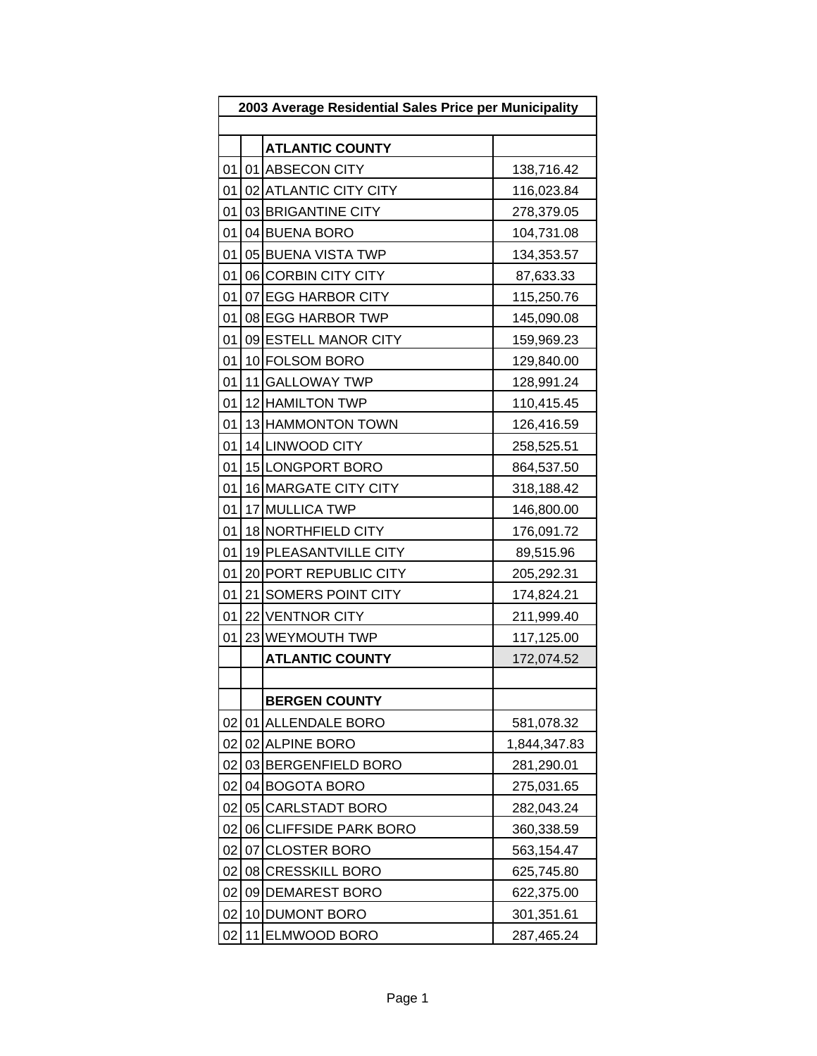| 2003 Average Residential Sales Price per Municipality |      |                        |              |
|-------------------------------------------------------|------|------------------------|--------------|
|                                                       |      |                        |              |
|                                                       |      | <b>ATLANTIC COUNTY</b> |              |
| 01                                                    |      | 01 ABSECON CITY        | 138,716.42   |
| 01                                                    |      | 02 ATLANTIC CITY CITY  | 116,023.84   |
| 01                                                    |      | 03 BRIGANTINE CITY     | 278,379.05   |
| 01                                                    |      | 04 BUENA BORO          | 104,731.08   |
| 01                                                    |      | 05 BUENA VISTA TWP     | 134,353.57   |
| 01                                                    |      | 06 CORBIN CITY CITY    | 87,633.33    |
| 01                                                    |      | 07 EGG HARBOR CITY     | 115,250.76   |
| 01                                                    |      | 08 EGG HARBOR TWP      | 145,090.08   |
| 01                                                    |      | 09 ESTELL MANOR CITY   | 159,969.23   |
| 01                                                    |      | 10 FOLSOM BORO         | 129,840.00   |
| 01                                                    |      | 11 GALLOWAY TWP        | 128,991.24   |
| 01                                                    |      | 12 HAMILTON TWP        | 110,415.45   |
| 01                                                    |      | 13 HAMMONTON TOWN      | 126,416.59   |
| 01                                                    |      | 14 LINWOOD CITY        | 258,525.51   |
| 01                                                    |      | 15 LONGPORT BORO       | 864,537.50   |
| 01                                                    |      | 16 MARGATE CITY CITY   | 318,188.42   |
| 01                                                    |      | 17 MULLICA TWP         | 146,800.00   |
| 01                                                    |      | 18 NORTHFIELD CITY     | 176,091.72   |
| 01                                                    |      | 19 PLEASANTVILLE CITY  | 89,515.96    |
| 01                                                    |      | 20 PORT REPUBLIC CITY  | 205,292.31   |
| 01                                                    |      | 21 SOMERS POINT CITY   | 174,824.21   |
| 01                                                    |      | 22 VENTNOR CITY        | 211,999.40   |
| 01                                                    |      | 23 WEYMOUTH TWP        | 117,125.00   |
|                                                       |      | <b>ATLANTIC COUNTY</b> | 172,074.52   |
|                                                       |      |                        |              |
|                                                       |      | <b>BERGEN COUNTY</b>   |              |
| 02                                                    |      | 01 ALLENDALE BORO      | 581,078.32   |
| 02                                                    |      | 02 ALPINE BORO         | 1,844,347.83 |
| 02                                                    |      | 03 BERGENFIELD BORO    | 281,290.01   |
| 02                                                    |      | 04 BOGOTA BORO         | 275,031.65   |
| 02                                                    |      | 05 CARLSTADT BORO      | 282,043.24   |
| 02                                                    |      | 06 CLIFFSIDE PARK BORO | 360,338.59   |
| 02                                                    | 07 I | <b>CLOSTER BORO</b>    | 563,154.47   |
| 02                                                    |      | 08 CRESSKILL BORO      | 625,745.80   |
| 02                                                    |      | 09 DEMAREST BORO       | 622,375.00   |
| 02                                                    |      | 10 DUMONT BORO         | 301,351.61   |
| 02                                                    |      | 11 ELMWOOD BORO        | 287,465.24   |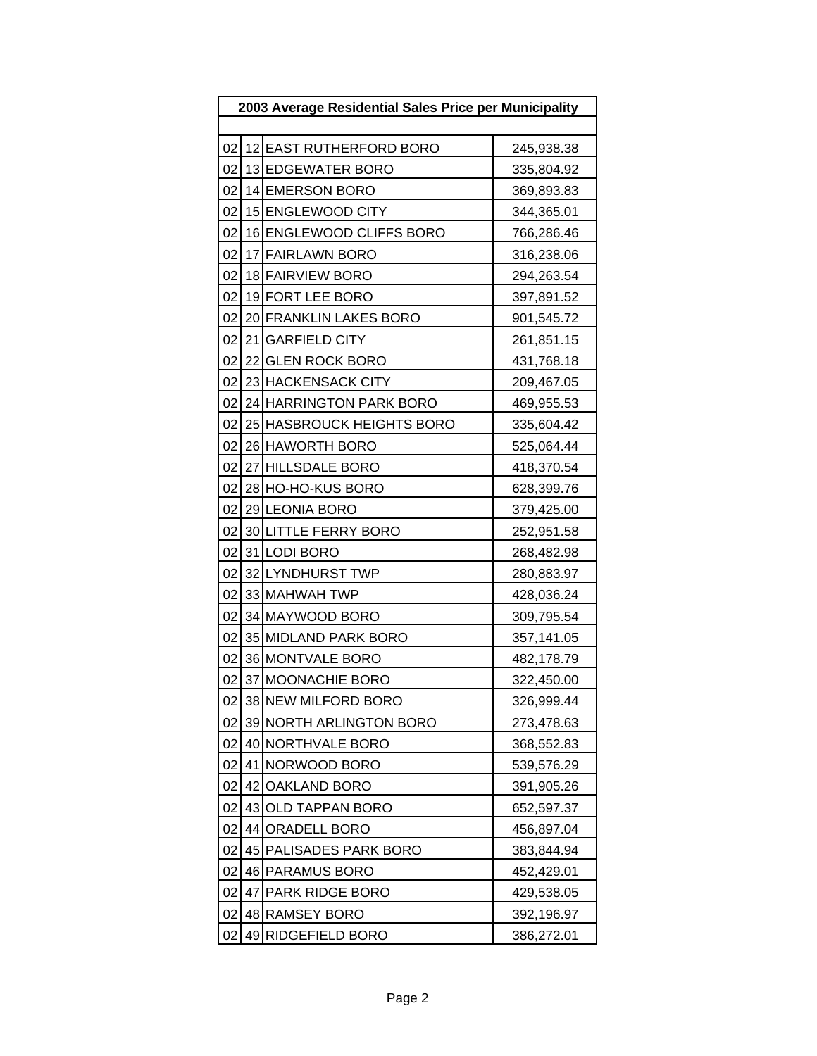| 2003 Average Residential Sales Price per Municipality |    |                           |            |  |  |
|-------------------------------------------------------|----|---------------------------|------------|--|--|
|                                                       |    |                           |            |  |  |
| 02                                                    |    | 12 EAST RUTHERFORD BORO   | 245,938.38 |  |  |
| 02                                                    |    | 13 EDGEWATER BORO         | 335,804.92 |  |  |
| 02                                                    |    | 14 EMERSON BORO           | 369,893.83 |  |  |
| 02                                                    |    | 15 ENGLEWOOD CITY         | 344,365.01 |  |  |
| 02                                                    |    | 16 ENGLEWOOD CLIFFS BORO  | 766,286.46 |  |  |
| 02                                                    |    | 17 FAIRLAWN BORO          | 316,238.06 |  |  |
| 02                                                    |    | 18 FAIRVIEW BORO          | 294,263.54 |  |  |
| 02                                                    |    | 19 FORT LEE BORO          | 397,891.52 |  |  |
| 02                                                    |    | 20 FRANKLIN LAKES BORO    | 901,545.72 |  |  |
| 02                                                    |    | 21 GARFIELD CITY          | 261,851.15 |  |  |
| 02                                                    |    | 22 GLEN ROCK BORO         | 431,768.18 |  |  |
| 02                                                    |    | 23 HACKENSACK CITY        | 209,467.05 |  |  |
| 02                                                    |    | 24 HARRINGTON PARK BORO   | 469,955.53 |  |  |
| 02                                                    |    | 25 HASBROUCK HEIGHTS BORO | 335,604.42 |  |  |
| 02                                                    |    | 26 HAWORTH BORO           | 525,064.44 |  |  |
| 02                                                    |    | 27 HILLSDALE BORO         | 418,370.54 |  |  |
| 02                                                    |    | 28 HO-HO-KUS BORO         | 628,399.76 |  |  |
| 02                                                    |    | 29 LEONIA BORO            | 379,425.00 |  |  |
| 02                                                    |    | 30 LITTLE FERRY BORO      | 252,951.58 |  |  |
| 02                                                    |    | 31 LODI BORO              | 268,482.98 |  |  |
| 02                                                    |    | 32 LYNDHURST TWP          | 280,883.97 |  |  |
| 02                                                    |    | 33 MAHWAH TWP             | 428,036.24 |  |  |
| 02                                                    |    | 34 MAYWOOD BORO           | 309,795.54 |  |  |
| 02                                                    |    | 35 MIDLAND PARK BORO      | 357,141.05 |  |  |
| 02                                                    |    | 36 MONTVALE BORO          | 482,178.79 |  |  |
| 02                                                    |    | 37 MOONACHIE BORO         | 322,450.00 |  |  |
| 02                                                    |    | 38 NEW MILFORD BORO       | 326,999.44 |  |  |
| 02                                                    |    | 39 NORTH ARLINGTON BORO   | 273,478.63 |  |  |
| 02                                                    |    | 40 NORTHVALE BORO         | 368,552.83 |  |  |
| 02                                                    | 41 | NORWOOD BORO              | 539,576.29 |  |  |
| 02                                                    | 42 | OAKLAND BORO              | 391,905.26 |  |  |
| 02                                                    |    | 43 OLD TAPPAN BORO        | 652,597.37 |  |  |
| 02                                                    | 44 | <b>ORADELL BORO</b>       | 456,897.04 |  |  |
| 02                                                    |    | 45 PALISADES PARK BORO    | 383,844.94 |  |  |
| 02                                                    |    | 46 PARAMUS BORO           | 452,429.01 |  |  |
| 02                                                    | 47 | <b>PARK RIDGE BORO</b>    | 429,538.05 |  |  |
| 02                                                    |    | 48 RAMSEY BORO            | 392,196.97 |  |  |
| 02                                                    |    | 49 RIDGEFIELD BORO        | 386,272.01 |  |  |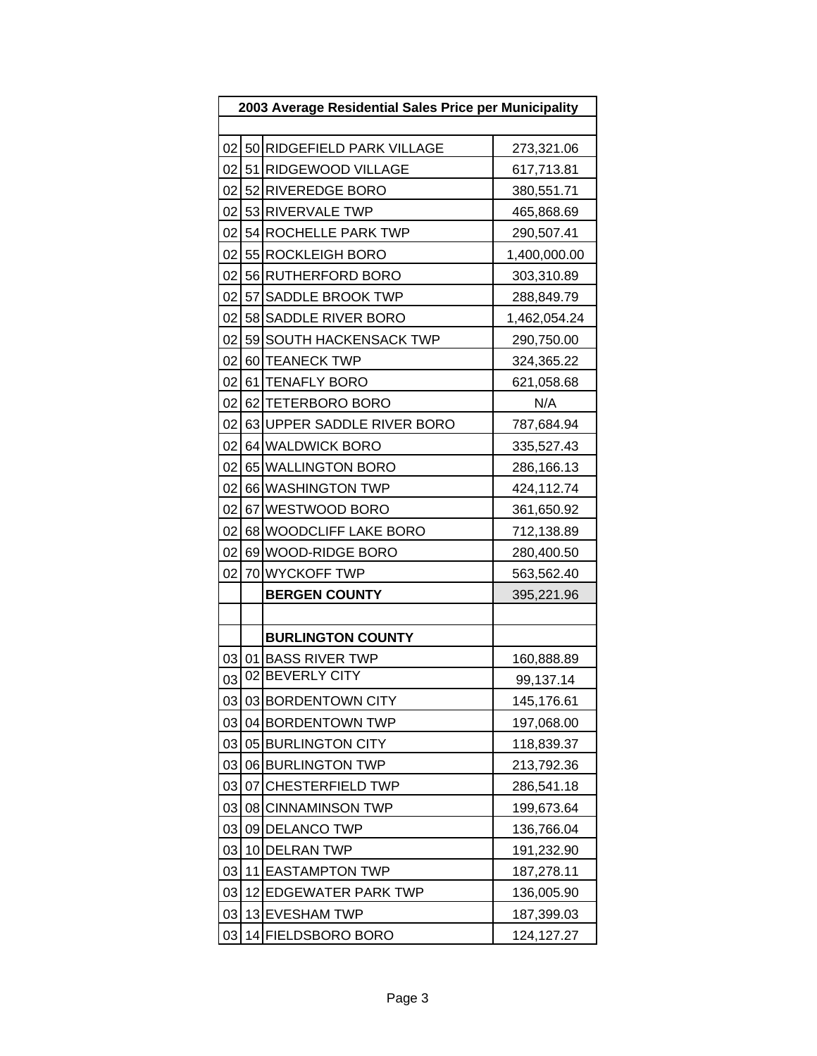| 2003 Average Residential Sales Price per Municipality |    |                            |              |  |  |
|-------------------------------------------------------|----|----------------------------|--------------|--|--|
|                                                       |    |                            |              |  |  |
| 02                                                    |    | 50 RIDGEFIELD PARK VILLAGE | 273,321.06   |  |  |
| 02                                                    |    | 51 RIDGEWOOD VILLAGE       | 617,713.81   |  |  |
| 02 <sub>l</sub>                                       |    | 52 RIVEREDGE BORO          | 380,551.71   |  |  |
|                                                       |    | 02 53 RIVERVALE TWP        | 465,868.69   |  |  |
| 02                                                    |    | 54 ROCHELLE PARK TWP       | 290,507.41   |  |  |
| 02                                                    |    | 55 ROCKLEIGH BORO          | 1,400,000.00 |  |  |
| 02 <sub>l</sub>                                       |    | 56 RUTHERFORD BORO         | 303,310.89   |  |  |
| 02                                                    |    | 57 SADDLE BROOK TWP        | 288,849.79   |  |  |
| 02 <sub>1</sub>                                       |    | 58 SADDLE RIVER BORO       | 1,462,054.24 |  |  |
| 02                                                    |    | 59 SOUTH HACKENSACK TWP    | 290,750.00   |  |  |
| 02                                                    |    | 60 TEANECK TWP             | 324,365.22   |  |  |
| 02 <sub>1</sub>                                       |    | 61 TENAFLY BORO            | 621,058.68   |  |  |
| 02                                                    |    | 62 TETERBORO BORO          | N/A          |  |  |
| 02                                                    |    | 63 UPPER SADDLE RIVER BORO | 787,684.94   |  |  |
| 02                                                    |    | 64 WALDWICK BORO           | 335,527.43   |  |  |
| 02                                                    |    | 65 WALLINGTON BORO         | 286,166.13   |  |  |
| 02                                                    |    | 66 WASHINGTON TWP          | 424,112.74   |  |  |
| 02 <sub>l</sub>                                       |    | 67 WESTWOOD BORO           | 361,650.92   |  |  |
| 02                                                    |    | 68 WOODCLIFF LAKE BORO     | 712,138.89   |  |  |
| 02                                                    |    | 69 WOOD-RIDGE BORO         | 280,400.50   |  |  |
| 02                                                    |    | 70 WYCKOFF TWP             | 563,562.40   |  |  |
|                                                       |    | <b>BERGEN COUNTY</b>       | 395,221.96   |  |  |
|                                                       |    |                            |              |  |  |
|                                                       |    | <b>BURLINGTON COUNTY</b>   |              |  |  |
| 03                                                    |    | 01 BASS RIVER TWP          | 160,888.89   |  |  |
| 03                                                    |    | 02 BEVERLY CITY            | 99,137.14    |  |  |
| 03                                                    |    | 03 BORDENTOWN CITY         | 145,176.61   |  |  |
| 03                                                    |    | 04 BORDENTOWN TWP          | 197,068.00   |  |  |
| 03                                                    |    | 05 BURLINGTON CITY         | 118,839.37   |  |  |
| 03                                                    |    | 06 BURLINGTON TWP          | 213,792.36   |  |  |
| 03                                                    | 07 | <b>CHESTERFIELD TWP</b>    | 286,541.18   |  |  |
| 03                                                    |    | 08 CINNAMINSON TWP         | 199,673.64   |  |  |
| 03                                                    |    | 09 DELANCO TWP             | 136,766.04   |  |  |
| 03                                                    |    | 10 DELRAN TWP              | 191,232.90   |  |  |
| 03                                                    |    | 11 EASTAMPTON TWP          | 187,278.11   |  |  |
| 03                                                    |    | 12 EDGEWATER PARK TWP      | 136,005.90   |  |  |
| 03                                                    |    | 13 EVESHAM TWP             | 187,399.03   |  |  |
| 03                                                    |    | 14 FIELDSBORO BORO         | 124,127.27   |  |  |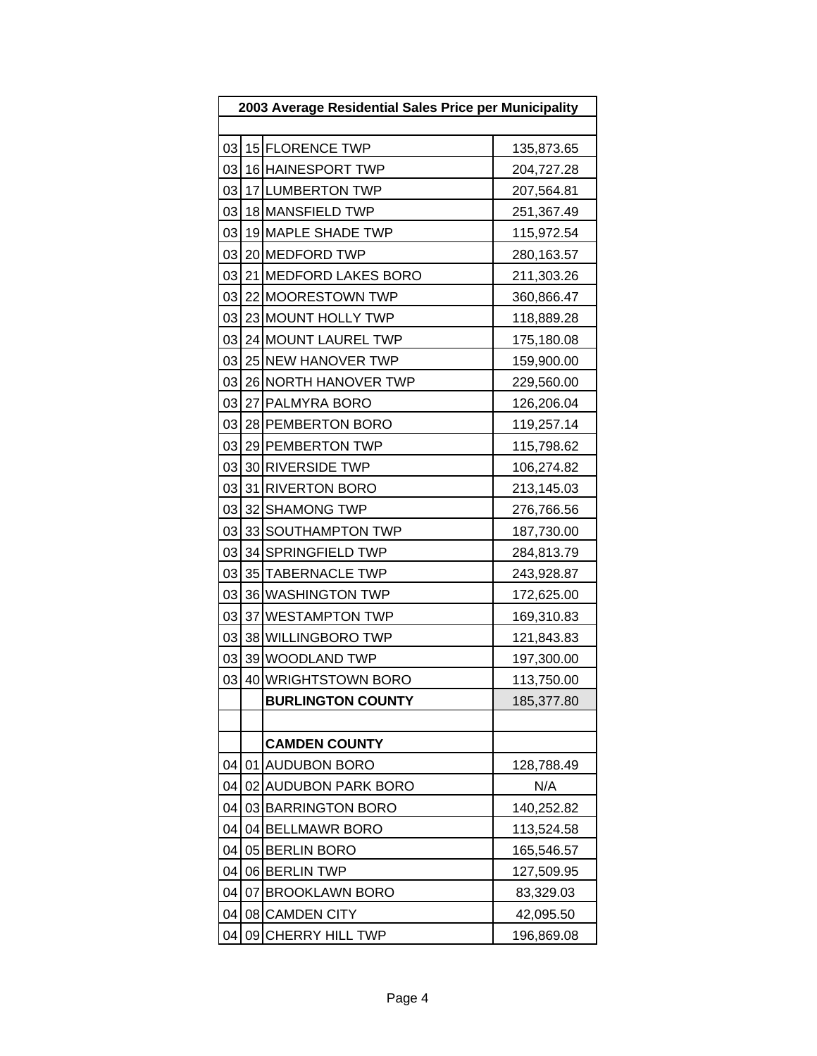| 2003 Average Residential Sales Price per Municipality |    |                          |            |  |  |
|-------------------------------------------------------|----|--------------------------|------------|--|--|
|                                                       |    |                          |            |  |  |
| 03                                                    |    | 15 FLORENCE TWP          | 135,873.65 |  |  |
| 03                                                    |    | 16 HAINESPORT TWP        | 204,727.28 |  |  |
| 03                                                    |    | 17 LUMBERTON TWP         | 207,564.81 |  |  |
| 03                                                    |    | 18 MANSFIELD TWP         | 251,367.49 |  |  |
| 03                                                    |    | 19 MAPLE SHADE TWP       | 115,972.54 |  |  |
| 03                                                    |    | 20 MEDFORD TWP           | 280,163.57 |  |  |
| 03                                                    |    | 21 MEDFORD LAKES BORO    | 211,303.26 |  |  |
| 03                                                    |    | 22 MOORESTOWN TWP        | 360,866.47 |  |  |
| 03                                                    |    | 23 MOUNT HOLLY TWP       | 118,889.28 |  |  |
| 03                                                    |    | 24 MOUNT LAUREL TWP      | 175,180.08 |  |  |
| 03                                                    |    | 25 NEW HANOVER TWP       | 159,900.00 |  |  |
| 03                                                    |    | 26 NORTH HANOVER TWP     | 229,560.00 |  |  |
| 03                                                    |    | 27 PALMYRA BORO          | 126,206.04 |  |  |
| 03                                                    |    | 28 PEMBERTON BORO        | 119,257.14 |  |  |
| 03                                                    |    | 29 PEMBERTON TWP         | 115,798.62 |  |  |
| 03                                                    |    | 30 RIVERSIDE TWP         | 106,274.82 |  |  |
| 03                                                    |    | 31 RIVERTON BORO         | 213,145.03 |  |  |
| 03                                                    |    | 32 SHAMONG TWP           | 276,766.56 |  |  |
| 03                                                    |    | 33 SOUTHAMPTON TWP       | 187,730.00 |  |  |
| 03                                                    |    | 34 SPRINGFIELD TWP       | 284,813.79 |  |  |
| 03                                                    |    | 35 TABERNACLE TWP        | 243,928.87 |  |  |
| 03                                                    |    | 36 WASHINGTON TWP        | 172,625.00 |  |  |
| 03                                                    |    | 37 WESTAMPTON TWP        | 169,310.83 |  |  |
| 03                                                    |    | 38 WILLINGBORO TWP       | 121,843.83 |  |  |
| 03                                                    |    | 39 WOODLAND TWP          | 197,300.00 |  |  |
| 03                                                    |    | 40 WRIGHTSTOWN BORO      | 113,750.00 |  |  |
|                                                       |    | <b>BURLINGTON COUNTY</b> | 185,377.80 |  |  |
|                                                       |    |                          |            |  |  |
|                                                       |    | <b>CAMDEN COUNTY</b>     |            |  |  |
| 04                                                    |    | 01 AUDUBON BORO          | 128,788.49 |  |  |
| 04                                                    |    | 02 AUDUBON PARK BORO     | N/A        |  |  |
| 04                                                    |    | 03 BARRINGTON BORO       | 140,252.82 |  |  |
| 04                                                    |    | 04 BELLMAWR BORO         | 113,524.58 |  |  |
| 04                                                    |    | 05 BERLIN BORO           | 165,546.57 |  |  |
| 04                                                    |    | 06 BERLIN TWP            | 127,509.95 |  |  |
| 04                                                    | 07 | <b>BROOKLAWN BORO</b>    | 83,329.03  |  |  |
| 04                                                    |    | 08 CAMDEN CITY           | 42,095.50  |  |  |
| 04                                                    | 09 | CHERRY HILL TWP          | 196,869.08 |  |  |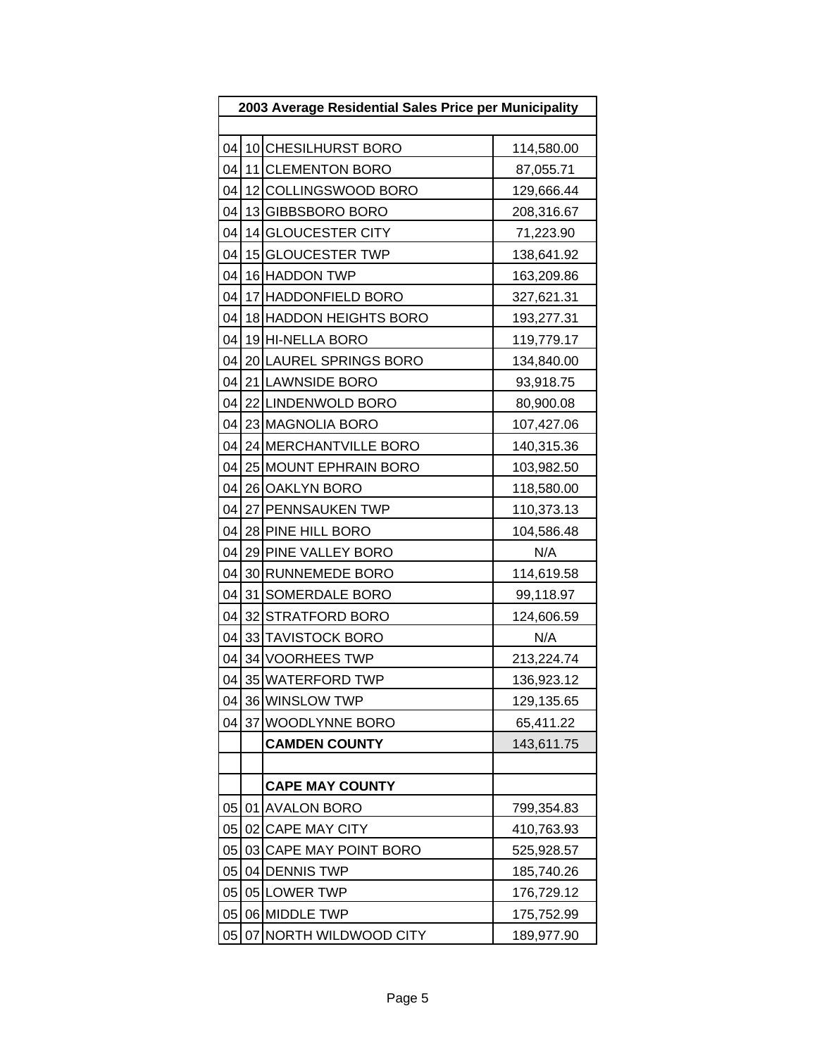| 2003 Average Residential Sales Price per Municipality |  |                        |            |  |  |
|-------------------------------------------------------|--|------------------------|------------|--|--|
|                                                       |  |                        |            |  |  |
| 04                                                    |  | 10 CHESILHURST BORO    | 114,580.00 |  |  |
| 04                                                    |  | 11 CLEMENTON BORO      | 87,055.71  |  |  |
| 04                                                    |  | 12 COLLINGSWOOD BORO   | 129,666.44 |  |  |
| 04                                                    |  | 13 GIBBSBORO BORO      | 208,316.67 |  |  |
| 04                                                    |  | 14 GLOUCESTER CITY     | 71,223.90  |  |  |
| 04                                                    |  | 15 GLOUCESTER TWP      | 138,641.92 |  |  |
| 04                                                    |  | 16 HADDON TWP          | 163,209.86 |  |  |
| 04                                                    |  | 17 HADDONFIELD BORO    | 327,621.31 |  |  |
| 04                                                    |  | 18 HADDON HEIGHTS BORO | 193,277.31 |  |  |
| 04                                                    |  | 19 HI-NELLA BORO       | 119,779.17 |  |  |
| 04                                                    |  | 20 LAUREL SPRINGS BORO | 134,840.00 |  |  |
| 04                                                    |  | 21 LAWNSIDE BORO       | 93,918.75  |  |  |
| 04                                                    |  | 22 LINDENWOLD BORO     | 80,900.08  |  |  |
| 04                                                    |  | 23 MAGNOLIA BORO       | 107,427.06 |  |  |
| 04                                                    |  | 24 MERCHANTVILLE BORO  | 140,315.36 |  |  |
| 04                                                    |  | 25 MOUNT EPHRAIN BORO  | 103,982.50 |  |  |
| 04                                                    |  | 26 OAKLYN BORO         | 118,580.00 |  |  |
|                                                       |  | 04 27 PENNSAUKEN TWP   | 110,373.13 |  |  |
| 04                                                    |  | 28 PINE HILL BORO      | 104,586.48 |  |  |
| 04                                                    |  | 29 PINE VALLEY BORO    | N/A        |  |  |
| 04                                                    |  | 30 RUNNEMEDE BORO      | 114,619.58 |  |  |
| 04                                                    |  | 31 SOMERDALE BORO      | 99,118.97  |  |  |
| 04                                                    |  | 32 STRATFORD BORO      | 124,606.59 |  |  |
| 04                                                    |  | 33 TAVISTOCK BORO      | N/A        |  |  |
| 04                                                    |  | 34 VOORHEES TWP        | 213,224.74 |  |  |
| 04                                                    |  | 35 WATERFORD TWP       | 136,923.12 |  |  |
| 04                                                    |  | 36 WINSLOW TWP         | 129,135.65 |  |  |
| 04                                                    |  | 37 WOODLYNNE BORO      | 65,411.22  |  |  |
|                                                       |  | <b>CAMDEN COUNTY</b>   | 143,611.75 |  |  |
|                                                       |  |                        |            |  |  |
|                                                       |  | <b>CAPE MAY COUNTY</b> |            |  |  |
| 05                                                    |  | 01 AVALON BORO         | 799,354.83 |  |  |
| 05                                                    |  | 02 CAPE MAY CITY       | 410,763.93 |  |  |
| 05                                                    |  | 03 CAPE MAY POINT BORO | 525,928.57 |  |  |
| 05                                                    |  | 04 DENNIS TWP          | 185,740.26 |  |  |
| 05                                                    |  | 05 LOWER TWP           | 176,729.12 |  |  |
| 05                                                    |  | 06 MIDDLE TWP          | 175,752.99 |  |  |
| 05                                                    |  | 07 NORTH WILDWOOD CITY | 189,977.90 |  |  |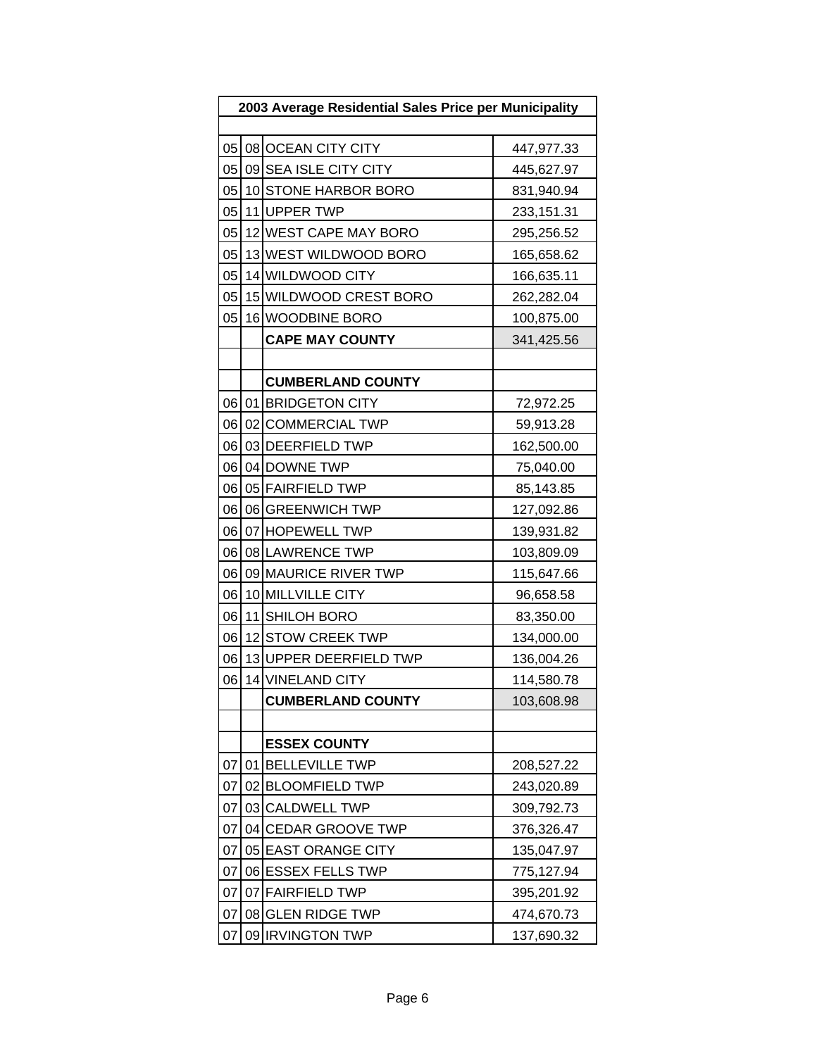| 2003 Average Residential Sales Price per Municipality |    |                          |            |
|-------------------------------------------------------|----|--------------------------|------------|
|                                                       |    |                          |            |
|                                                       |    | 05 08 OCEAN CITY CITY    | 447,977.33 |
| 05                                                    |    | 09 SEA ISLE CITY CITY    | 445,627.97 |
| 05                                                    |    | 10 STONE HARBOR BORO     | 831,940.94 |
| 05                                                    |    | 11 UPPER TWP             | 233,151.31 |
| 05                                                    |    | 12 WEST CAPE MAY BORO    | 295,256.52 |
| 05                                                    |    | 13 WEST WILDWOOD BORO    | 165,658.62 |
| 05                                                    |    | 14 WILDWOOD CITY         | 166,635.11 |
| 05                                                    |    | 15 WILDWOOD CREST BORO   | 262,282.04 |
| 05                                                    |    | 16 WOODBINE BORO         | 100,875.00 |
|                                                       |    | <b>CAPE MAY COUNTY</b>   | 341,425.56 |
|                                                       |    |                          |            |
|                                                       |    | <b>CUMBERLAND COUNTY</b> |            |
|                                                       |    | 06 01 BRIDGETON CITY     | 72,972.25  |
| 06                                                    |    | 02 COMMERCIAL TWP        | 59,913.28  |
| 06                                                    |    | 03 DEERFIELD TWP         | 162,500.00 |
| 06                                                    |    | 04 DOWNE TWP             | 75,040.00  |
| 06                                                    |    | 05 FAIRFIELD TWP         | 85,143.85  |
| 06                                                    |    | 06 GREENWICH TWP         | 127,092.86 |
| 06                                                    |    | 07 HOPEWELL TWP          | 139,931.82 |
| 06                                                    |    | 08 LAWRENCE TWP          | 103,809.09 |
| 06                                                    |    | 09 MAURICE RIVER TWP     | 115,647.66 |
| 06                                                    |    | 10 MILLVILLE CITY        | 96,658.58  |
| 06                                                    |    | 11 SHILOH BORO           | 83,350.00  |
| 06                                                    |    | 12 STOW CREEK TWP        | 134,000.00 |
| 06                                                    |    | 13 UPPER DEERFIELD TWP   | 136,004.26 |
| 06                                                    |    | 14 VINELAND CITY         | 114,580.78 |
|                                                       |    | <b>CUMBERLAND COUNTY</b> | 103,608.98 |
|                                                       |    |                          |            |
|                                                       |    | <b>ESSEX COUNTY</b>      |            |
| 07                                                    |    | 01 BELLEVILLE TWP        | 208,527.22 |
| 07                                                    |    | 02 BLOOMFIELD TWP        | 243,020.89 |
| 07                                                    |    | 03 CALDWELL TWP          | 309,792.73 |
| 07                                                    |    | 04 CEDAR GROOVE TWP      | 376,326.47 |
| 07                                                    |    | 05 EAST ORANGE CITY      | 135,047.97 |
| 07                                                    |    | 06 ESSEX FELLS TWP       | 775,127.94 |
| 07                                                    |    | 07 FAIRFIELD TWP         | 395,201.92 |
| 07                                                    | 08 | <b>GLEN RIDGE TWP</b>    | 474,670.73 |
| 07                                                    |    | 09 IRVINGTON TWP         | 137,690.32 |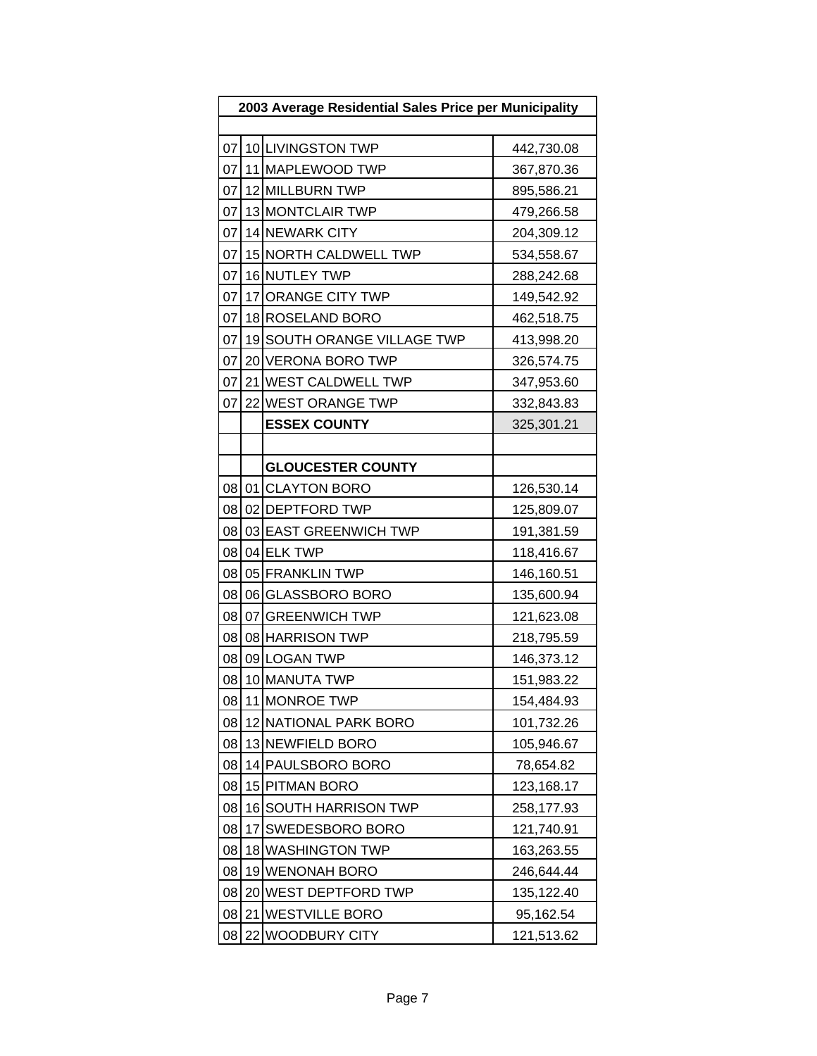| 2003 Average Residential Sales Price per Municipality |    |                             |            |  |  |  |
|-------------------------------------------------------|----|-----------------------------|------------|--|--|--|
|                                                       |    |                             |            |  |  |  |
| 07                                                    |    | 10 LIVINGSTON TWP           | 442,730.08 |  |  |  |
| 07                                                    |    | 11 MAPLEWOOD TWP            | 367,870.36 |  |  |  |
| 07                                                    |    | 12 MILLBURN TWP             | 895,586.21 |  |  |  |
| 07                                                    |    | 13 MONTCLAIR TWP            | 479,266.58 |  |  |  |
| 07                                                    |    | 14 NEWARK CITY              | 204,309.12 |  |  |  |
| 07                                                    |    | 15 NORTH CALDWELL TWP       | 534,558.67 |  |  |  |
| 07                                                    |    | 16 NUTLEY TWP               | 288,242.68 |  |  |  |
| 07                                                    |    | 17 ORANGE CITY TWP          | 149,542.92 |  |  |  |
| 07                                                    |    | 18 ROSELAND BORO            | 462,518.75 |  |  |  |
| 07                                                    |    | 19 SOUTH ORANGE VILLAGE TWP | 413,998.20 |  |  |  |
| 07                                                    |    | 20 VERONA BORO TWP          | 326,574.75 |  |  |  |
| 07                                                    |    | 21 WEST CALDWELL TWP        | 347,953.60 |  |  |  |
| 07                                                    |    | 22 WEST ORANGE TWP          | 332,843.83 |  |  |  |
|                                                       |    | <b>ESSEX COUNTY</b>         | 325,301.21 |  |  |  |
|                                                       |    |                             |            |  |  |  |
|                                                       |    | <b>GLOUCESTER COUNTY</b>    |            |  |  |  |
|                                                       |    | 08 01 CLAYTON BORO          | 126,530.14 |  |  |  |
| 08                                                    |    | 02 DEPTFORD TWP             | 125,809.07 |  |  |  |
| 08                                                    |    | 03 EAST GREENWICH TWP       | 191,381.59 |  |  |  |
| 08                                                    |    | 04 ELK TWP                  | 118,416.67 |  |  |  |
| 08                                                    |    | 05 FRANKLIN TWP             | 146,160.51 |  |  |  |
| 08                                                    |    | 06 GLASSBORO BORO           | 135,600.94 |  |  |  |
| 08                                                    |    | 07 GREENWICH TWP            | 121,623.08 |  |  |  |
| 08                                                    |    | 08 HARRISON TWP             | 218,795.59 |  |  |  |
| 08                                                    |    | 09 LOGAN TWP                | 146,373.12 |  |  |  |
| 08                                                    |    | 10 MANUTA TWP               | 151,983.22 |  |  |  |
| 08                                                    |    | 11 MONROE TWP               | 154,484.93 |  |  |  |
| 08                                                    |    | 12 NATIONAL PARK BORO       | 101,732.26 |  |  |  |
| 08                                                    |    | 13 NEWFIELD BORO            | 105,946.67 |  |  |  |
| 08                                                    |    | 14 PAULSBORO BORO           | 78,654.82  |  |  |  |
| 08                                                    |    | 15 PITMAN BORO              | 123,168.17 |  |  |  |
| 08                                                    |    | 16 SOUTH HARRISON TWP       | 258,177.93 |  |  |  |
| 08                                                    | 17 | SWEDESBORO BORO             | 121,740.91 |  |  |  |
| 08                                                    |    | 18 WASHINGTON TWP           | 163,263.55 |  |  |  |
| 08                                                    |    | 19 WENONAH BORO             | 246,644.44 |  |  |  |
| 08                                                    |    | 20 WEST DEPTFORD TWP        | 135,122.40 |  |  |  |
| 08                                                    | 21 | <b>WESTVILLE BORO</b>       | 95,162.54  |  |  |  |
| 08                                                    |    | 22 WOODBURY CITY            | 121,513.62 |  |  |  |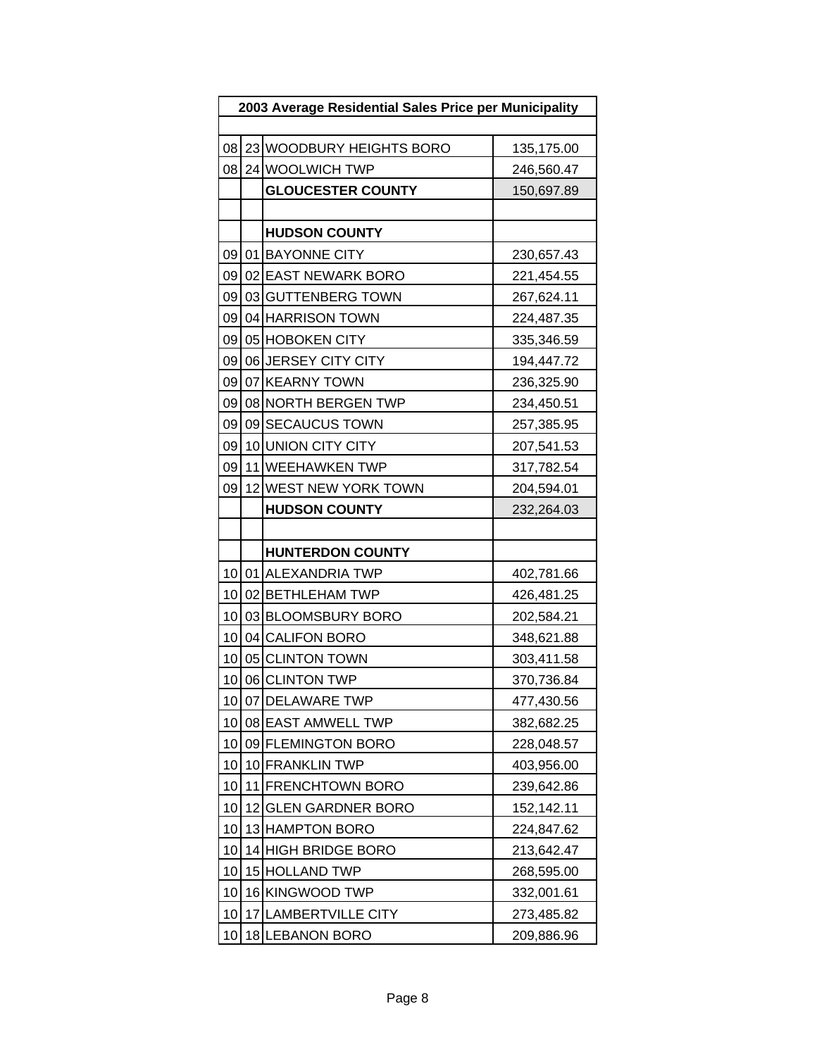| 2003 Average Residential Sales Price per Municipality |    |                          |            |
|-------------------------------------------------------|----|--------------------------|------------|
|                                                       |    |                          |            |
| 08                                                    |    | 23 WOODBURY HEIGHTS BORO | 135,175.00 |
| 08                                                    |    | 24 WOOLWICH TWP          | 246,560.47 |
|                                                       |    | <b>GLOUCESTER COUNTY</b> | 150,697.89 |
|                                                       |    |                          |            |
|                                                       |    | <b>HUDSON COUNTY</b>     |            |
|                                                       |    | 09 01 BAYONNE CITY       | 230,657.43 |
| 09                                                    |    | 02 EAST NEWARK BORO      | 221,454.55 |
| 09                                                    |    | 03 GUTTENBERG TOWN       | 267,624.11 |
| 09                                                    |    | 04 HARRISON TOWN         | 224,487.35 |
| 09                                                    |    | 05 HOBOKEN CITY          | 335,346.59 |
| 09                                                    |    | 06 JERSEY CITY CITY      | 194,447.72 |
| 09                                                    |    | 07 KEARNY TOWN           | 236,325.90 |
| 09                                                    |    | 08 NORTH BERGEN TWP      | 234,450.51 |
| 09                                                    |    | 09 SECAUCUS TOWN         | 257,385.95 |
| 09                                                    |    | 10 UNION CITY CITY       | 207,541.53 |
| 09                                                    |    | 11 WEEHAWKEN TWP         | 317,782.54 |
| 09                                                    |    | 12 WEST NEW YORK TOWN    | 204,594.01 |
|                                                       |    | <b>HUDSON COUNTY</b>     | 232,264.03 |
|                                                       |    |                          |            |
|                                                       |    | <b>HUNTERDON COUNTY</b>  |            |
|                                                       |    | 10 01 ALEXANDRIA TWP     | 402,781.66 |
| 10 <sup>1</sup>                                       |    | 02 BETHLEHAM TWP         | 426,481.25 |
| 10                                                    |    | 03 BLOOMSBURY BORO       | 202,584.21 |
| 10 <sub>1</sub>                                       |    | 04 CALIFON BORO          | 348,621.88 |
| 10                                                    |    | 05 CLINTON TOWN          | 303,411.58 |
| 10                                                    |    | 06 CLINTON TWP           | 370,736.84 |
|                                                       |    | 10 07 DELAWARE TWP       | 477,430.56 |
| 10                                                    |    | 08 EAST AMWELL TWP       | 382,682.25 |
| 10                                                    |    | 09 FLEMINGTON BORO       | 228,048.57 |
| 10                                                    |    | 10 FRANKLIN TWP          | 403,956.00 |
| 10                                                    |    | 11 FRENCHTOWN BORO       | 239,642.86 |
| 10                                                    |    | 12 GLEN GARDNER BORO     | 152,142.11 |
| 10                                                    |    | 13 HAMPTON BORO          | 224,847.62 |
| 10                                                    |    | 14 HIGH BRIDGE BORO      | 213,642.47 |
| 10                                                    |    | 15 HOLLAND TWP           | 268,595.00 |
| 10                                                    |    | 16 KINGWOOD TWP          | 332,001.61 |
| 10                                                    | 17 | <b>LAMBERTVILLE CITY</b> | 273,485.82 |
| 10                                                    |    | 18 LEBANON BORO          | 209,886.96 |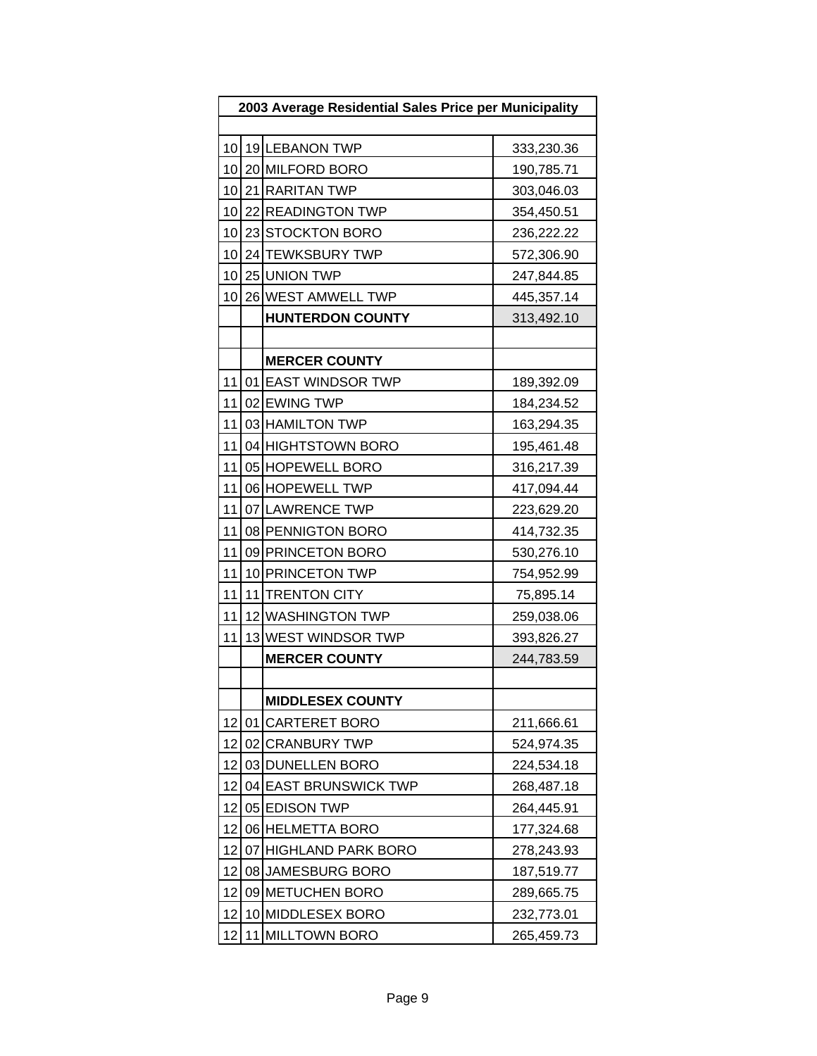|    | 2003 Average Residential Sales Price per Municipality |                         |            |  |
|----|-------------------------------------------------------|-------------------------|------------|--|
|    |                                                       |                         |            |  |
| 10 |                                                       | 19 LEBANON TWP          | 333,230.36 |  |
| 10 |                                                       | 20 MILFORD BORO         | 190,785.71 |  |
| 10 |                                                       | 21 RARITAN TWP          | 303,046.03 |  |
| 10 |                                                       | 22 READINGTON TWP       | 354,450.51 |  |
| 10 |                                                       | 23 STOCKTON BORO        | 236,222.22 |  |
| 10 |                                                       | 24 TEWKSBURY TWP        | 572,306.90 |  |
| 10 |                                                       | 25 UNION TWP            | 247,844.85 |  |
| 10 |                                                       | 26 WEST AMWELL TWP      | 445,357.14 |  |
|    |                                                       | <b>HUNTERDON COUNTY</b> | 313,492.10 |  |
|    |                                                       |                         |            |  |
|    |                                                       | <b>MERCER COUNTY</b>    |            |  |
| 11 |                                                       | 01 EAST WINDSOR TWP     | 189,392.09 |  |
| 11 |                                                       | 02 EWING TWP            | 184,234.52 |  |
| 11 |                                                       | 03 HAMILTON TWP         | 163,294.35 |  |
| 11 |                                                       | 04 HIGHTSTOWN BORO      | 195,461.48 |  |
| 11 |                                                       | 05 HOPEWELL BORO        | 316,217.39 |  |
| 11 |                                                       | 06 HOPEWELL TWP         | 417,094.44 |  |
| 11 |                                                       | 07 LAWRENCE TWP         | 223,629.20 |  |
| 11 |                                                       | 08 PENNIGTON BORO       | 414,732.35 |  |
| 11 |                                                       | 09 PRINCETON BORO       | 530,276.10 |  |
| 11 |                                                       | 10 PRINCETON TWP        | 754,952.99 |  |
| 11 |                                                       | 11 TRENTON CITY         | 75,895.14  |  |
| 11 |                                                       | 12 WASHINGTON TWP       | 259,038.06 |  |
| 11 |                                                       | 13 WEST WINDSOR TWP     | 393,826.27 |  |
|    |                                                       | <b>MERCER COUNTY</b>    | 244,783.59 |  |
|    |                                                       |                         |            |  |
|    |                                                       | <b>MIDDLESEX COUNTY</b> |            |  |
| 12 |                                                       | 01 CARTERET BORO        | 211,666.61 |  |
| 12 |                                                       | 02 CRANBURY TWP         | 524,974.35 |  |
| 12 |                                                       | 03 DUNELLEN BORO        | 224,534.18 |  |
| 12 |                                                       | 04 EAST BRUNSWICK TWP   | 268,487.18 |  |
| 12 |                                                       | 05 EDISON TWP           | 264,445.91 |  |
| 12 |                                                       | 06 HELMETTA BORO        | 177,324.68 |  |
| 12 |                                                       | 07 HIGHLAND PARK BORO   | 278,243.93 |  |
| 12 |                                                       | 08 JAMESBURG BORO       | 187,519.77 |  |
| 12 |                                                       | 09 METUCHEN BORO        | 289,665.75 |  |
| 12 |                                                       | 10 MIDDLESEX BORO       | 232,773.01 |  |
| 12 | 11                                                    | <b>MILLTOWN BORO</b>    | 265,459.73 |  |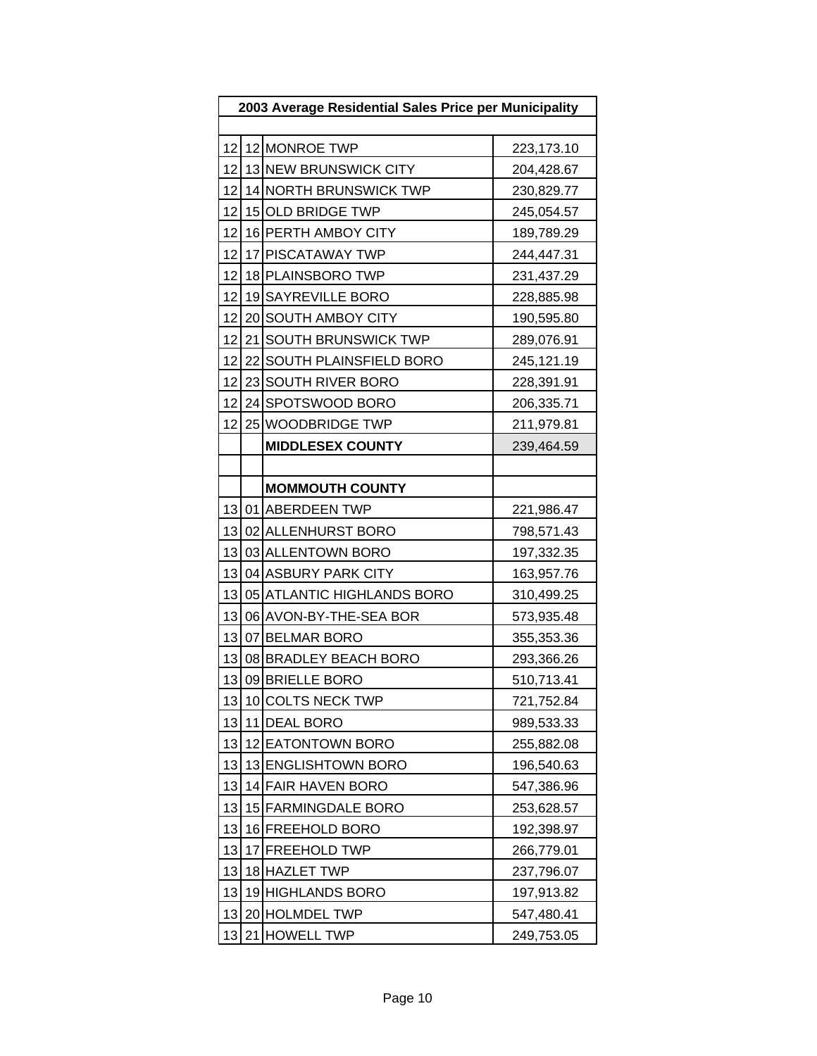| 2003 Average Residential Sales Price per Municipality |  |                            |            |
|-------------------------------------------------------|--|----------------------------|------------|
|                                                       |  |                            |            |
| 12                                                    |  | 12 MONROE TWP              | 223,173.10 |
| 12                                                    |  | 13 NEW BRUNSWICK CITY      | 204,428.67 |
| 12                                                    |  | 14 NORTH BRUNSWICK TWP     | 230,829.77 |
| 12                                                    |  | 15 OLD BRIDGE TWP          | 245,054.57 |
| 12                                                    |  | 16 PERTH AMBOY CITY        | 189,789.29 |
| 12                                                    |  | 17 PISCATAWAY TWP          | 244,447.31 |
| 12                                                    |  | 18 PLAINSBORO TWP          | 231,437.29 |
| 12                                                    |  | 19 SAYREVILLE BORO         | 228,885.98 |
| 12                                                    |  | 20 SOUTH AMBOY CITY        | 190,595.80 |
| 12                                                    |  | 21 SOUTH BRUNSWICK TWP     | 289,076.91 |
| 12                                                    |  | 22 SOUTH PLAINSFIELD BORO  | 245,121.19 |
| 12                                                    |  | 23 SOUTH RIVER BORO        | 228,391.91 |
| 12                                                    |  | 24 SPOTSWOOD BORO          | 206,335.71 |
| 12                                                    |  | 25 WOODBRIDGE TWP          | 211,979.81 |
|                                                       |  | <b>MIDDLESEX COUNTY</b>    | 239,464.59 |
|                                                       |  |                            |            |
|                                                       |  | <b>MOMMOUTH COUNTY</b>     |            |
|                                                       |  | 13 01 ABERDEEN TWP         | 221,986.47 |
| 13                                                    |  | 02 ALLENHURST BORO         | 798,571.43 |
| 13                                                    |  | 03 ALLENTOWN BORO          | 197,332.35 |
| 13                                                    |  | 04 ASBURY PARK CITY        | 163,957.76 |
| 13                                                    |  | 05 ATLANTIC HIGHLANDS BORO | 310,499.25 |
| 13                                                    |  | 06 AVON-BY-THE-SEA BOR     | 573,935.48 |
| 13                                                    |  | 07 BELMAR BORO             | 355,353.36 |
| 13                                                    |  | 08 BRADLEY BEACH BORO      | 293,366.26 |
| 13                                                    |  | 09 BRIELLE BORO            | 510,713.41 |
| 13                                                    |  | 10 COLTS NECK TWP          | 721,752.84 |
| 13                                                    |  | 11 DEAL BORO               | 989,533.33 |
| 13                                                    |  | 12 EATONTOWN BORO          | 255,882.08 |
| 13                                                    |  | 13 ENGLISHTOWN BORO        | 196,540.63 |
| 13                                                    |  | 14 FAIR HAVEN BORO         | 547,386.96 |
| 13                                                    |  | 15 FARMINGDALE BORO        | 253,628.57 |
| 13                                                    |  | 16 FREEHOLD BORO           | 192,398.97 |
| 13                                                    |  | 17 FREEHOLD TWP            | 266,779.01 |
| 13                                                    |  | 18 HAZLET TWP              | 237,796.07 |
| 13                                                    |  | 19 HIGHLANDS BORO          | 197,913.82 |
| 13                                                    |  | 20 HOLMDEL TWP             | 547,480.41 |
| 13                                                    |  | 21 HOWELL TWP              | 249,753.05 |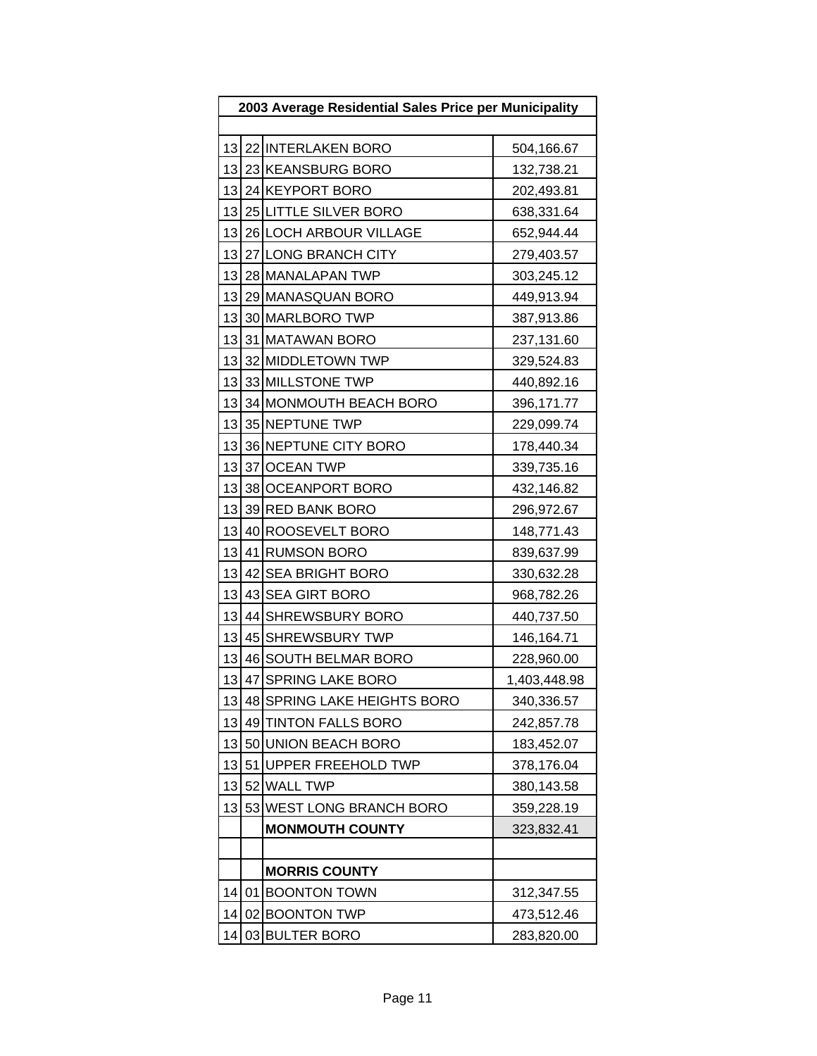|    | 2003 Average Residential Sales Price per Municipality |                             |              |  |
|----|-------------------------------------------------------|-----------------------------|--------------|--|
|    |                                                       |                             |              |  |
|    |                                                       | 13 22 INTERLAKEN BORO       | 504,166.67   |  |
| 13 |                                                       | 23 KEANSBURG BORO           | 132,738.21   |  |
| 13 |                                                       | 24 KEYPORT BORO             | 202,493.81   |  |
| 13 |                                                       | 25 LITTLE SILVER BORO       | 638,331.64   |  |
| 13 |                                                       | 26 LOCH ARBOUR VILLAGE      | 652,944.44   |  |
| 13 |                                                       | 27 LONG BRANCH CITY         | 279,403.57   |  |
| 13 |                                                       | 28 MANALAPAN TWP            | 303,245.12   |  |
|    |                                                       | 13 29 MANASQUAN BORO        | 449,913.94   |  |
| 13 |                                                       | 30 MARLBORO TWP             | 387,913.86   |  |
|    |                                                       | 13 31 MATAWAN BORO          | 237,131.60   |  |
| 13 |                                                       | 32 MIDDLETOWN TWP           | 329,524.83   |  |
| 13 |                                                       | 33 MILLSTONE TWP            | 440,892.16   |  |
|    |                                                       | 13 34 MONMOUTH BEACH BORO   | 396,171.77   |  |
| 13 |                                                       | 35 NEPTUNE TWP              | 229,099.74   |  |
| 13 |                                                       | 36 NEPTUNE CITY BORO        | 178,440.34   |  |
| 13 |                                                       | 37 OCEAN TWP                | 339,735.16   |  |
| 13 |                                                       | 38 OCEANPORT BORO           | 432,146.82   |  |
| 13 |                                                       | 39 RED BANK BORO            | 296,972.67   |  |
| 13 |                                                       | 40 ROOSEVELT BORO           | 148,771.43   |  |
| 13 |                                                       | 41 RUMSON BORO              | 839,637.99   |  |
| 13 |                                                       | 42 SEA BRIGHT BORO          | 330,632.28   |  |
| 13 |                                                       | 43 SEA GIRT BORO            | 968,782.26   |  |
| 13 |                                                       | 44 SHREWSBURY BORO          | 440,737.50   |  |
| 13 |                                                       | 45 SHREWSBURY TWP           | 146,164.71   |  |
| 13 |                                                       | 46 SOUTH BELMAR BORO        | 228,960.00   |  |
| 13 |                                                       | 47 SPRING LAKE BORO         | 1,403,448.98 |  |
| 13 |                                                       | 48 SPRING LAKE HEIGHTS BORO | 340,336.57   |  |
| 13 |                                                       | 49 TINTON FALLS BORO        | 242,857.78   |  |
| 13 |                                                       | 50 UNION BEACH BORO         | 183,452.07   |  |
| 13 |                                                       | 51 UPPER FREEHOLD TWP       | 378,176.04   |  |
| 13 |                                                       | 52 WALL TWP                 | 380,143.58   |  |
| 13 |                                                       | 53 WEST LONG BRANCH BORO    | 359,228.19   |  |
|    |                                                       | <b>MONMOUTH COUNTY</b>      | 323,832.41   |  |
|    |                                                       |                             |              |  |
|    |                                                       | <b>MORRIS COUNTY</b>        |              |  |
| 14 |                                                       | 01 BOONTON TOWN             | 312,347.55   |  |
| 14 |                                                       | 02 BOONTON TWP              | 473,512.46   |  |
| 14 |                                                       | 03 BULTER BORO              | 283,820.00   |  |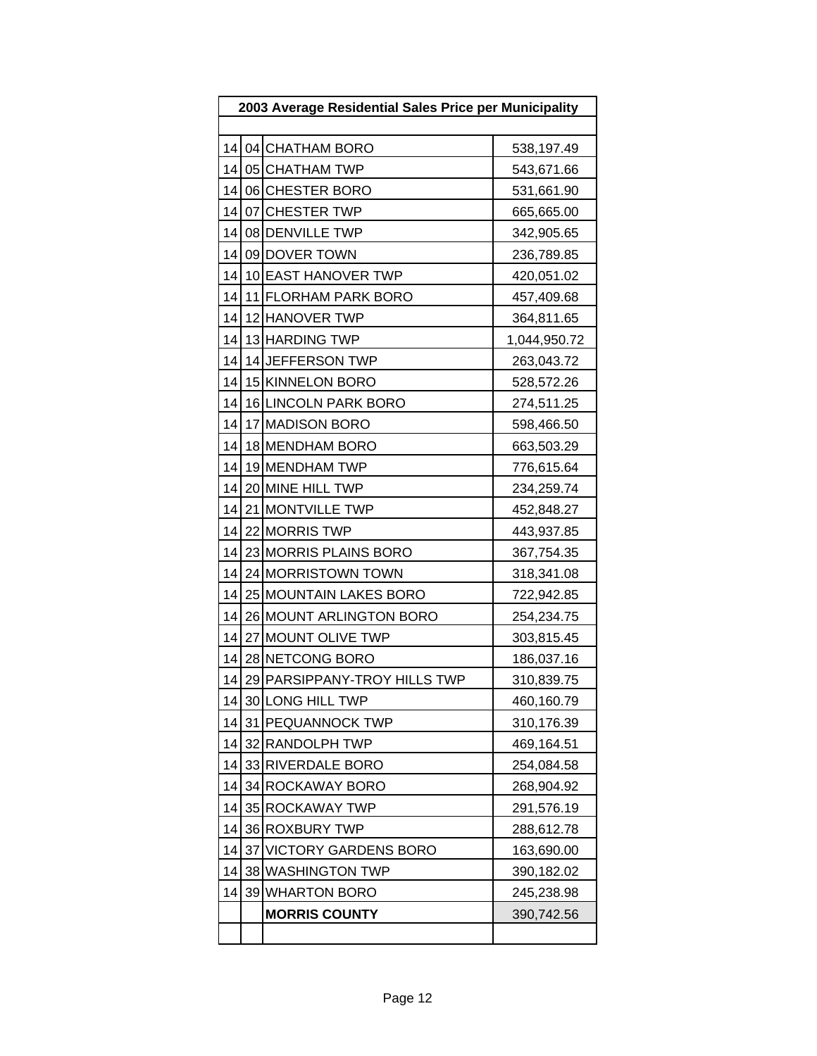| 2003 Average Residential Sales Price per Municipality |  |                              |              |  |  |
|-------------------------------------------------------|--|------------------------------|--------------|--|--|
|                                                       |  |                              |              |  |  |
|                                                       |  | 14 04 CHATHAM BORO           | 538,197.49   |  |  |
| 14                                                    |  | 05 CHATHAM TWP               | 543,671.66   |  |  |
| 14                                                    |  | 06 CHESTER BORO              | 531,661.90   |  |  |
| 14                                                    |  | 07 CHESTER TWP               | 665,665.00   |  |  |
| 14                                                    |  | 08 DENVILLE TWP              | 342,905.65   |  |  |
| 14                                                    |  | 09 DOVER TOWN                | 236,789.85   |  |  |
| 14                                                    |  | 10 EAST HANOVER TWP          | 420,051.02   |  |  |
| 14                                                    |  | 11 FLORHAM PARK BORO         | 457,409.68   |  |  |
| 14                                                    |  | 12 HANOVER TWP               | 364,811.65   |  |  |
| 14                                                    |  | 13 HARDING TWP               | 1,044,950.72 |  |  |
| 14                                                    |  | 14 JEFFERSON TWP             | 263,043.72   |  |  |
| 14                                                    |  | 15 KINNELON BORO             | 528,572.26   |  |  |
| 14                                                    |  | 16 LINCOLN PARK BORO         | 274,511.25   |  |  |
| 14                                                    |  | 17 MADISON BORO              | 598,466.50   |  |  |
| 14                                                    |  | 18 MENDHAM BORO              | 663,503.29   |  |  |
| 14                                                    |  | 19 MENDHAM TWP               | 776,615.64   |  |  |
| 14                                                    |  | 20 MINE HILL TWP             | 234,259.74   |  |  |
| 14                                                    |  | 21 MONTVILLE TWP             | 452,848.27   |  |  |
| 14                                                    |  | 22 MORRIS TWP                | 443,937.85   |  |  |
| 14                                                    |  | 23 MORRIS PLAINS BORO        | 367,754.35   |  |  |
| 14                                                    |  | 24 MORRISTOWN TOWN           | 318,341.08   |  |  |
| 14                                                    |  | 25 MOUNTAIN LAKES BORO       | 722,942.85   |  |  |
| 14                                                    |  | 26 MOUNT ARLINGTON BORO      | 254,234.75   |  |  |
| 14                                                    |  | 27 MOUNT OLIVE TWP           | 303,815.45   |  |  |
| 14                                                    |  | 28 NETCONG BORO              | 186,037.16   |  |  |
| 14                                                    |  | 29 PARSIPPANY-TROY HILLS TWP | 310,839.75   |  |  |
|                                                       |  | 14 30 LONG HILL TWP          | 460,160.79   |  |  |
| 14                                                    |  | 31 PEQUANNOCK TWP            | 310,176.39   |  |  |
| 14                                                    |  | 32 RANDOLPH TWP              | 469,164.51   |  |  |
| 14                                                    |  | 33 RIVERDALE BORO            | 254,084.58   |  |  |
| 14                                                    |  | 34 ROCKAWAY BORO             | 268,904.92   |  |  |
| 14                                                    |  | 35 ROCKAWAY TWP              | 291,576.19   |  |  |
| 14                                                    |  | 36 ROXBURY TWP               | 288,612.78   |  |  |
| 14                                                    |  | 37 VICTORY GARDENS BORO      | 163,690.00   |  |  |
| 14                                                    |  | 38 WASHINGTON TWP            | 390,182.02   |  |  |
| 14                                                    |  | 39 WHARTON BORO              | 245,238.98   |  |  |
|                                                       |  | <b>MORRIS COUNTY</b>         | 390,742.56   |  |  |
|                                                       |  |                              |              |  |  |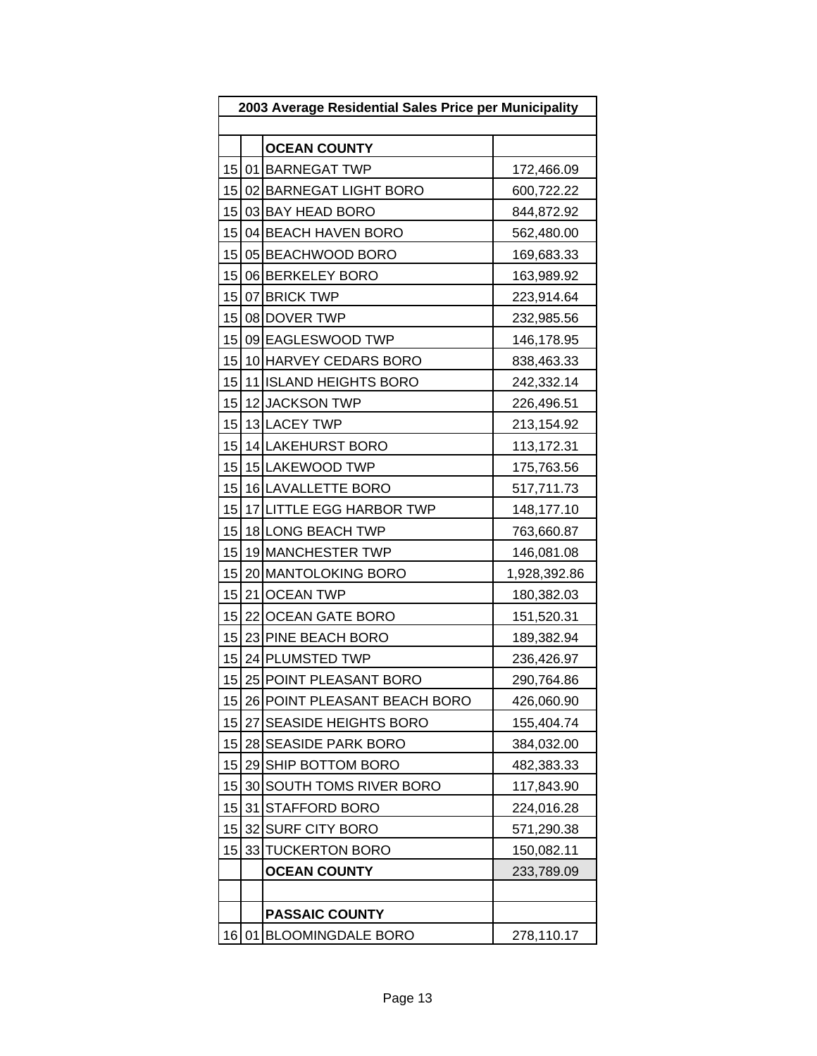| 2003 Average Residential Sales Price per Municipality |                 |                              |              |
|-------------------------------------------------------|-----------------|------------------------------|--------------|
|                                                       |                 |                              |              |
|                                                       |                 | <b>OCEAN COUNTY</b>          |              |
|                                                       |                 | 15 01 BARNEGAT TWP           | 172,466.09   |
| 15                                                    |                 | 02 BARNEGAT LIGHT BORO       | 600,722.22   |
| 15                                                    |                 | 03 BAY HEAD BORO             | 844,872.92   |
| 15 <sup>1</sup>                                       |                 | 04 BEACH HAVEN BORO          | 562,480.00   |
| 15                                                    |                 | 05 BEACHWOOD BORO            | 169,683.33   |
| 15                                                    |                 | 06 BERKELEY BORO             | 163,989.92   |
|                                                       |                 | 15 07 BRICK TWP              | 223,914.64   |
|                                                       |                 | 15 08 DOVER TWP              | 232,985.56   |
| 15                                                    |                 | 09 EAGLESWOOD TWP            | 146,178.95   |
| 15                                                    |                 | 10 HARVEY CEDARS BORO        | 838,463.33   |
| 15                                                    |                 | 11 ISLAND HEIGHTS BORO       | 242,332.14   |
| 15                                                    |                 | 12 JACKSON TWP               | 226,496.51   |
| 15                                                    |                 | 13 LACEY TWP                 | 213,154.92   |
|                                                       |                 | 15 14 LAKEHURST BORO         | 113,172.31   |
| 15                                                    |                 | 15 LAKEWOOD TWP              | 175,763.56   |
| 15                                                    |                 | 16 LAVALLETTE BORO           | 517,711.73   |
| 15                                                    |                 | 17 LITTLE EGG HARBOR TWP     | 148,177.10   |
| 15                                                    |                 | 18 LONG BEACH TWP            | 763,660.87   |
| 15                                                    |                 | 19 MANCHESTER TWP            | 146,081.08   |
|                                                       |                 | 15 20 MANTOLOKING BORO       | 1,928,392.86 |
| 15                                                    |                 | 21 OCEAN TWP                 | 180,382.03   |
| 15                                                    |                 | 22 OCEAN GATE BORO           | 151,520.31   |
|                                                       |                 | 15 23 PINE BEACH BORO        | 189,382.94   |
| 15                                                    |                 | 24 PLUMSTED TWP              | 236,426.97   |
| 15                                                    |                 | 25 POINT PLEASANT BORO       | 290,764.86   |
| 15 <sup>1</sup>                                       |                 | 26 POINT PLEASANT BEACH BORO | 426,060.90   |
| 15                                                    |                 | 27 SEASIDE HEIGHTS BORO      | 155,404.74   |
| 15                                                    |                 | 28 SEASIDE PARK BORO         | 384,032.00   |
| 15                                                    |                 | 29 SHIP BOTTOM BORO          | 482,383.33   |
| 15                                                    | 30 <sup>1</sup> | SOUTH TOMS RIVER BORO        | 117,843.90   |
| 15                                                    |                 | 31 STAFFORD BORO             | 224,016.28   |
| 15                                                    |                 | 32 SURF CITY BORO            | 571,290.38   |
| 15                                                    |                 | 33 TUCKERTON BORO            | 150,082.11   |
|                                                       |                 | <b>OCEAN COUNTY</b>          | 233,789.09   |
|                                                       |                 |                              |              |
|                                                       |                 | <b>PASSAIC COUNTY</b>        |              |
| 16                                                    |                 | 01 BLOOMINGDALE BORO         | 278,110.17   |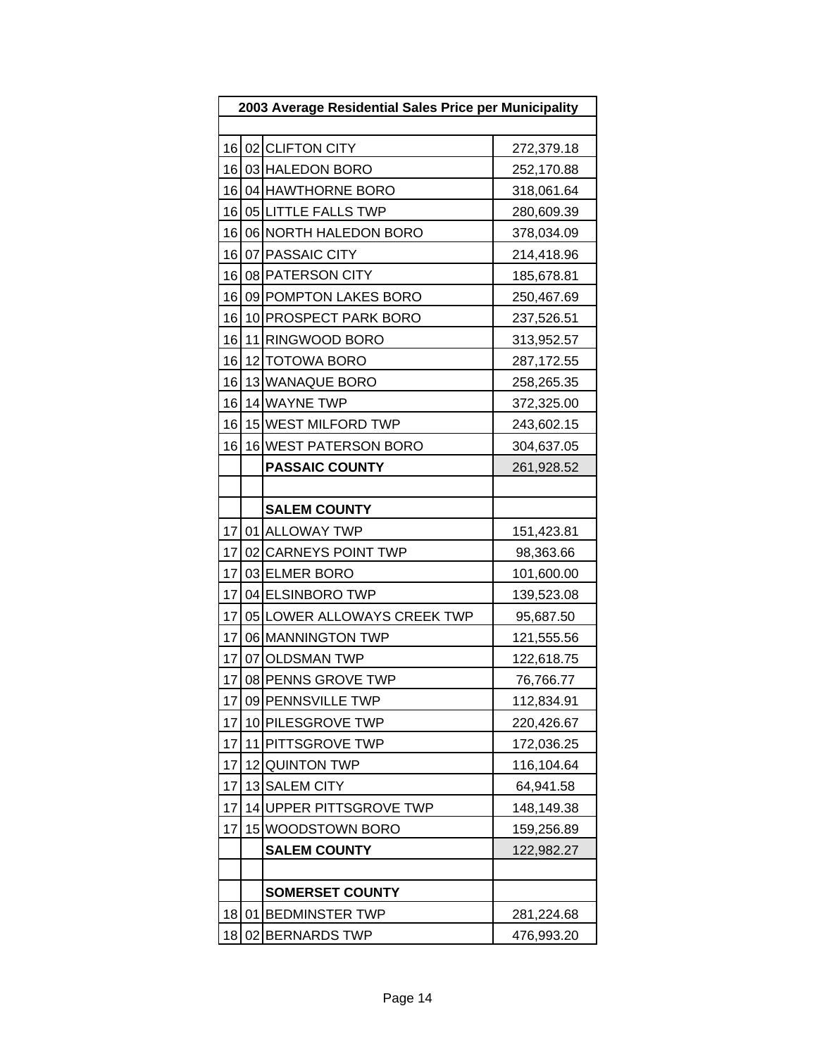| 2003 Average Residential Sales Price per Municipality |    |                             |            |
|-------------------------------------------------------|----|-----------------------------|------------|
|                                                       |    |                             |            |
|                                                       |    | 16 02 CLIFTON CITY          | 272,379.18 |
| 16                                                    |    | 03 HALEDON BORO             | 252,170.88 |
| 16                                                    |    | 04 HAWTHORNE BORO           | 318,061.64 |
|                                                       |    | 16 05 LITTLE FALLS TWP      | 280,609.39 |
| 16                                                    |    | 06 NORTH HALEDON BORO       | 378,034.09 |
| 16                                                    |    | 07 PASSAIC CITY             | 214,418.96 |
|                                                       |    | 16 08 PATERSON CITY         | 185,678.81 |
| 16                                                    |    | 09 POMPTON LAKES BORO       | 250,467.69 |
| 16                                                    |    | 10 PROSPECT PARK BORO       | 237,526.51 |
| 16                                                    |    | 11 RINGWOOD BORO            | 313,952.57 |
| 16                                                    |    | 12 TOTOWA BORO              | 287,172.55 |
| 16                                                    |    | 13 WANAQUE BORO             | 258,265.35 |
| 16                                                    |    | 14 WAYNE TWP                | 372,325.00 |
| 16                                                    |    | 15 WEST MILFORD TWP         | 243,602.15 |
| 16                                                    |    | 16 WEST PATERSON BORO       | 304,637.05 |
|                                                       |    | <b>PASSAIC COUNTY</b>       | 261,928.52 |
|                                                       |    |                             |            |
|                                                       |    | <b>SALEM COUNTY</b>         |            |
| 17                                                    |    | 01 ALLOWAY TWP              | 151,423.81 |
| 17                                                    |    | 02 CARNEYS POINT TWP        | 98,363.66  |
| 17                                                    |    | 03 ELMER BORO               | 101,600.00 |
| 17                                                    |    | 04 ELSINBORO TWP            | 139,523.08 |
| 17                                                    |    | 05 LOWER ALLOWAYS CREEK TWP | 95,687.50  |
| 17                                                    |    | 06 MANNINGTON TWP           | 121,555.56 |
| 17                                                    |    | 07 OLDSMAN TWP              | 122,618.75 |
| 17                                                    |    | 08 PENNS GROVE TWP          | 76,766.77  |
| 17                                                    |    | 09 PENNSVILLE TWP           | 112,834.91 |
| 17                                                    |    | 10 PILESGROVE TWP           | 220,426.67 |
| 17                                                    |    | 11 PITTSGROVE TWP           | 172,036.25 |
| 17                                                    |    | 12 QUINTON TWP              | 116,104.64 |
| 17                                                    |    | 13 SALEM CITY               | 64,941.58  |
| 17                                                    |    | 14 UPPER PITTSGROVE TWP     | 148,149.38 |
| 17                                                    |    | 15 WOODSTOWN BORO           | 159,256.89 |
|                                                       |    | <b>SALEM COUNTY</b>         | 122,982.27 |
|                                                       |    |                             |            |
|                                                       |    | <b>SOMERSET COUNTY</b>      |            |
| 18                                                    | 01 | <b>BEDMINSTER TWP</b>       | 281,224.68 |
| 18                                                    |    | 02 BERNARDS TWP             | 476,993.20 |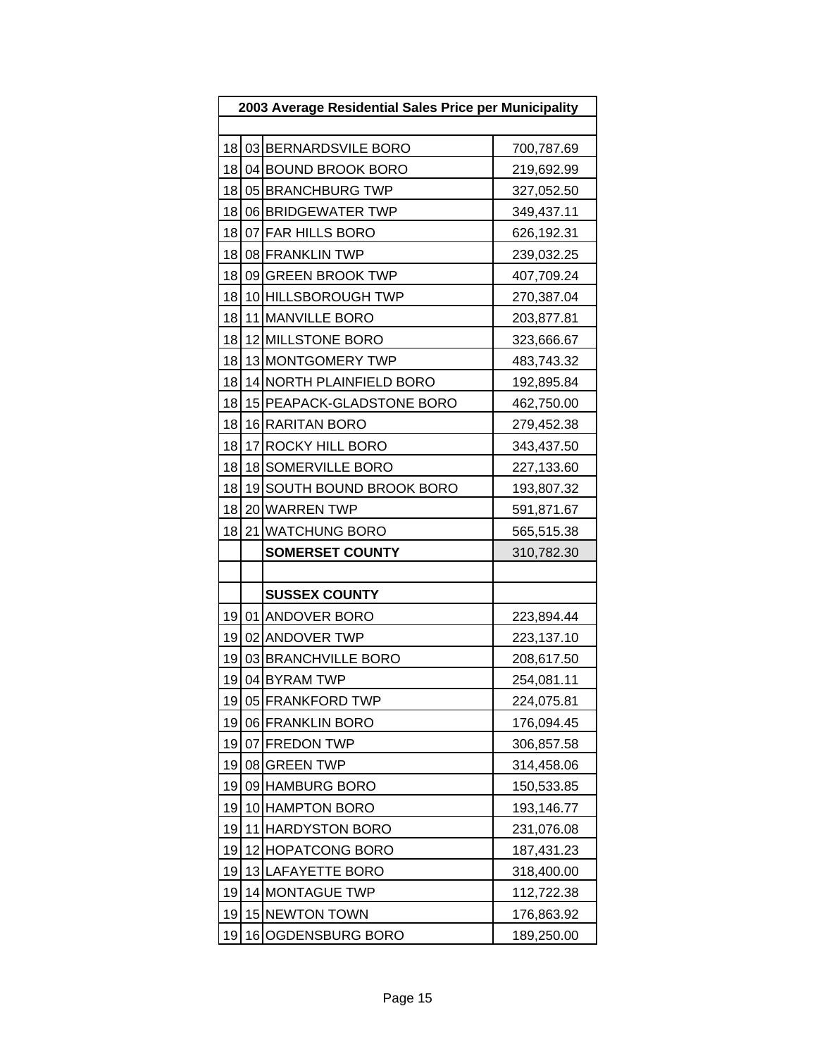| 2003 Average Residential Sales Price per Municipality |    |                           |            |
|-------------------------------------------------------|----|---------------------------|------------|
|                                                       |    |                           |            |
| 18                                                    |    | 03 BERNARDSVILE BORO      | 700,787.69 |
| 181                                                   |    | 04 BOUND BROOK BORO       | 219,692.99 |
| 18                                                    |    | 05 BRANCHBURG TWP         | 327,052.50 |
| 18                                                    |    | 06 BRIDGEWATER TWP        | 349,437.11 |
| 18                                                    |    | 07 FAR HILLS BORO         | 626,192.31 |
| 18                                                    |    | 08 FRANKLIN TWP           | 239,032.25 |
| 18                                                    |    | 09 GREEN BROOK TWP        | 407,709.24 |
| 18                                                    |    | 10 HILLSBOROUGH TWP       | 270,387.04 |
| 18                                                    |    | 11 MANVILLE BORO          | 203,877.81 |
| 18                                                    |    | 12 MILLSTONE BORO         | 323,666.67 |
| 18                                                    |    | 13 MONTGOMERY TWP         | 483,743.32 |
| 18                                                    |    | 14 NORTH PLAINFIELD BORO  | 192,895.84 |
| 18                                                    |    | 15 PEAPACK-GLADSTONE BORO | 462,750.00 |
| 18                                                    |    | 16 RARITAN BORO           | 279,452.38 |
| 18                                                    |    | 17 ROCKY HILL BORO        | 343,437.50 |
| 18                                                    |    | 18 SOMERVILLE BORO        | 227,133.60 |
| 18                                                    |    | 19 SOUTH BOUND BROOK BORO | 193,807.32 |
| 18                                                    |    | 20 WARREN TWP             | 591,871.67 |
| 18                                                    |    | 21 WATCHUNG BORO          | 565,515.38 |
|                                                       |    | <b>SOMERSET COUNTY</b>    | 310,782.30 |
|                                                       |    |                           |            |
|                                                       |    | <b>SUSSEX COUNTY</b>      |            |
| 19                                                    |    | 01 ANDOVER BORO           | 223,894.44 |
| 19                                                    |    | 02 ANDOVER TWP            | 223,137.10 |
| 19                                                    |    | 03 BRANCHVILLE BORO       | 208,617.50 |
| 19                                                    |    | 04 BYRAM TWP              | 254,081.11 |
| 19                                                    |    | 05 FRANKFORD TWP          | 224,075.81 |
| 19                                                    |    | 06 FRANKLIN BORO          | 176,094.45 |
| 19                                                    |    | 07 FREDON TWP             | 306,857.58 |
| 19                                                    |    | 08 GREEN TWP              | 314,458.06 |
| 19                                                    |    | 09 HAMBURG BORO           | 150,533.85 |
| 19                                                    |    | 10 HAMPTON BORO           | 193,146.77 |
| 19                                                    |    | 11 HARDYSTON BORO         | 231,076.08 |
| 19                                                    |    | 12 HOPATCONG BORO         | 187,431.23 |
| 19                                                    |    | 13 LAFAYETTE BORO         | 318,400.00 |
| 19                                                    |    | 14 MONTAGUE TWP           | 112,722.38 |
| 19                                                    |    | 15 NEWTON TOWN            | 176,863.92 |
| 19                                                    | 16 | OGDENSBURG BORO           | 189,250.00 |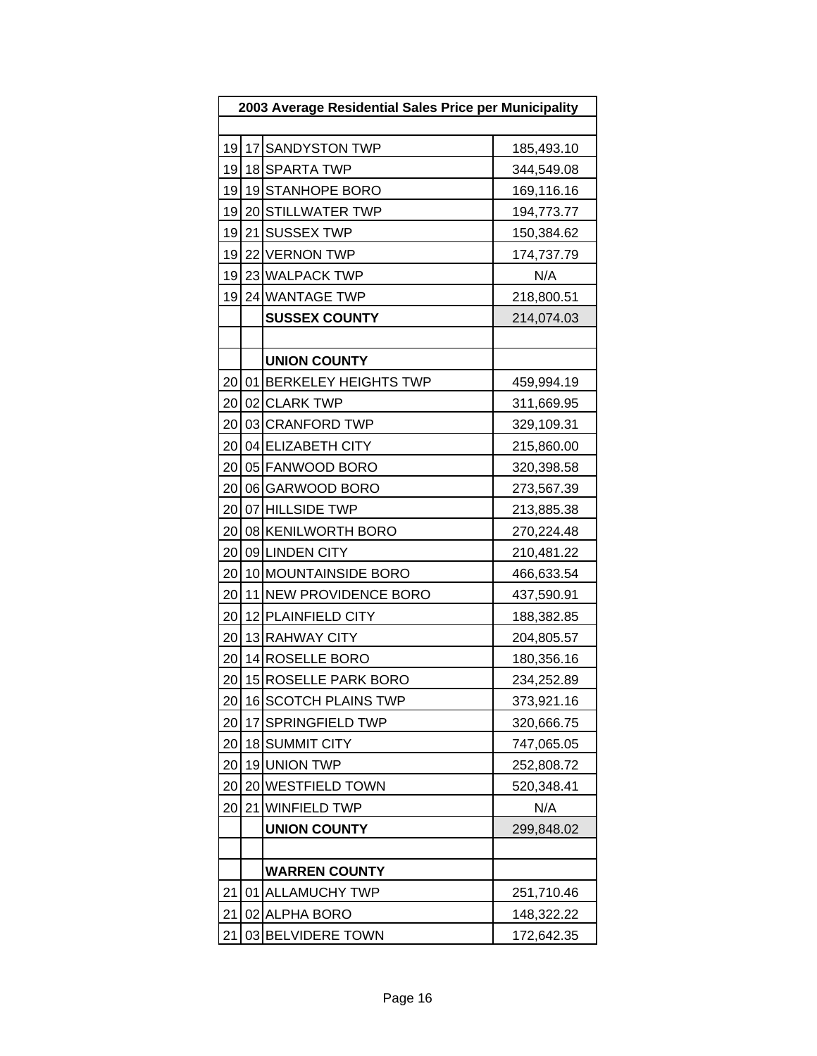| 2003 Average Residential Sales Price per Municipality |  |                         |            |
|-------------------------------------------------------|--|-------------------------|------------|
|                                                       |  |                         |            |
| 19                                                    |  | 17 SANDYSTON TWP        | 185,493.10 |
| 19                                                    |  | 18 SPARTA TWP           | 344,549.08 |
| 19                                                    |  | 19 STANHOPE BORO        | 169,116.16 |
| 19                                                    |  | 20 STILLWATER TWP       | 194,773.77 |
| 19                                                    |  | 21 SUSSEX TWP           | 150,384.62 |
| 19                                                    |  | 22 VERNON TWP           | 174,737.79 |
| 19                                                    |  | 23 WALPACK TWP          | N/A        |
| 19                                                    |  | 24 WANTAGE TWP          | 218,800.51 |
|                                                       |  | <b>SUSSEX COUNTY</b>    | 214,074.03 |
|                                                       |  |                         |            |
|                                                       |  | <b>UNION COUNTY</b>     |            |
| 20                                                    |  | 01 BERKELEY HEIGHTS TWP | 459,994.19 |
| 20                                                    |  | 02 CLARK TWP            | 311,669.95 |
| 20                                                    |  | 03 CRANFORD TWP         | 329,109.31 |
| 20                                                    |  | 04 ELIZABETH CITY       | 215,860.00 |
| 20                                                    |  | 05 FANWOOD BORO         | 320,398.58 |
| 20                                                    |  | 06 GARWOOD BORO         | 273,567.39 |
| 20                                                    |  | 07 HILLSIDE TWP         | 213,885.38 |
| 20                                                    |  | 08 KENILWORTH BORO      | 270,224.48 |
| 20                                                    |  | 09 LINDEN CITY          | 210,481.22 |
| 20                                                    |  | 10 MOUNTAINSIDE BORO    | 466,633.54 |
| 20                                                    |  | 11 NEW PROVIDENCE BORO  | 437,590.91 |
| 20                                                    |  | 12 PLAINFIELD CITY      | 188,382.85 |
| 20                                                    |  | 13 RAHWAY CITY          | 204,805.57 |
| 20                                                    |  | 14 ROSELLE BORO         | 180,356.16 |
| 20                                                    |  | 15 ROSELLE PARK BORO    | 234,252.89 |
| 20                                                    |  | 16 SCOTCH PLAINS TWP    | 373,921.16 |
| 20                                                    |  | 17 SPRINGFIELD TWP      | 320,666.75 |
| 20                                                    |  | 18 SUMMIT CITY          | 747,065.05 |
| 20                                                    |  | 19 UNION TWP            | 252,808.72 |
| 20                                                    |  | 20 WESTFIELD TOWN       | 520,348.41 |
| 20                                                    |  | 21 WINFIELD TWP         | N/A        |
|                                                       |  | <b>UNION COUNTY</b>     | 299,848.02 |
|                                                       |  |                         |            |
|                                                       |  | <b>WARREN COUNTY</b>    |            |
| 21                                                    |  | 01 ALLAMUCHY TWP        | 251,710.46 |
| 21                                                    |  | 02 ALPHA BORO           | 148,322.22 |
| 21                                                    |  | 03 BELVIDERE TOWN       | 172,642.35 |